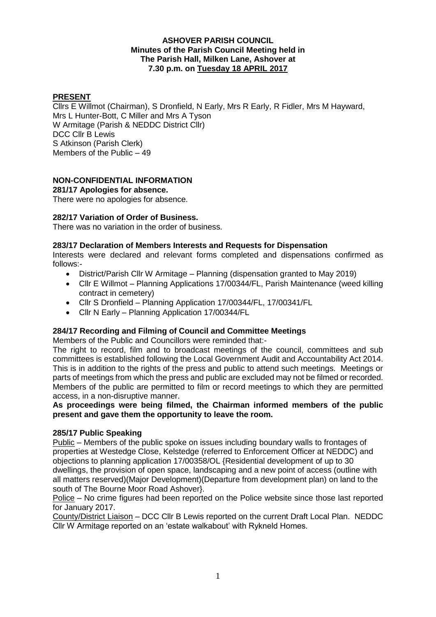## **ASHOVER PARISH COUNCIL Minutes of the Parish Council Meeting held in The Parish Hall, Milken Lane, Ashover at 7.30 p.m. on Tuesday 18 APRIL 2017**

## **PRESENT**

Cllrs E Willmot (Chairman), S Dronfield, N Early, Mrs R Early, R Fidler, Mrs M Hayward, Mrs L Hunter-Bott, C Miller and Mrs A Tyson W Armitage (Parish & NEDDC District Cllr) DCC Cllr B Lewis S Atkinson (Parish Clerk) Members of the Public – 49

# **NON-CONFIDENTIAL INFORMATION**

**281/17 Apologies for absence.**

There were no apologies for absence.

## **282/17 Variation of Order of Business.**

There was no variation in the order of business.

## **283/17 Declaration of Members Interests and Requests for Dispensation**

Interests were declared and relevant forms completed and dispensations confirmed as follows:-

- District/Parish Cllr W Armitage Planning (dispensation granted to May 2019)
- Cllr E Willmot Planning Applications 17/00344/FL, Parish Maintenance (weed killing contract in cemetery)
- Cllr S Dronfield Planning Application 17/00344/FL, 17/00341/FL
- Cllr N Early Planning Application 17/00344/FL

## **284/17 Recording and Filming of Council and Committee Meetings**

Members of the Public and Councillors were reminded that:-

The right to record, film and to broadcast meetings of the council, committees and sub committees is established following the Local Government Audit and Accountability Act 2014. This is in addition to the rights of the press and public to attend such meetings. Meetings or parts of meetings from which the press and public are excluded may not be filmed or recorded. Members of the public are permitted to film or record meetings to which they are permitted access, in a non-disruptive manner.

## **As proceedings were being filmed, the Chairman informed members of the public present and gave them the opportunity to leave the room.**

## **285/17 Public Speaking**

Public – Members of the public spoke on issues including boundary walls to frontages of properties at Westedge Close, Kelstedge (referred to Enforcement Officer at NEDDC) and objections to planning application 17/00358/OL {Residential development of up to 30 dwellings, the provision of open space, landscaping and a new point of access (outline with all matters reserved)(Major Development)(Departure from development plan) on land to the south of The Bourne Moor Road Ashover}.

Police – No crime figures had been reported on the Police website since those last reported for January 2017.

County/District Liaison – DCC Cllr B Lewis reported on the current Draft Local Plan. NEDDC Cllr W Armitage reported on an 'estate walkabout' with Rykneld Homes.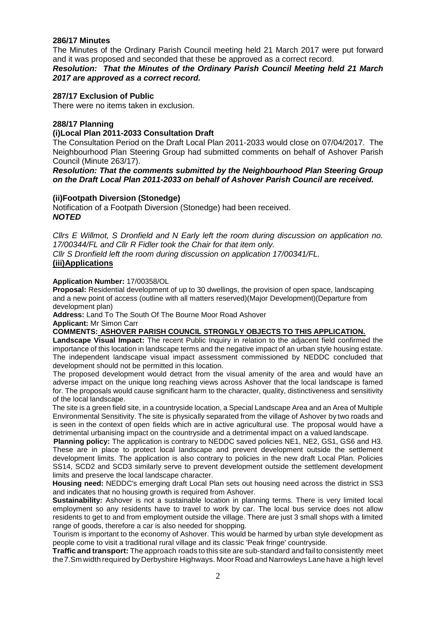## **286/17 Minutes**

The Minutes of the Ordinary Parish Council meeting held 21 March 2017 were put forward and it was proposed and seconded that these be approved as a correct record. *Resolution: That the Minutes of the Ordinary Parish Council Meeting held 21 March*

*2017 are approved as a correct record.*

#### **287/17 Exclusion of Public**

There were no items taken in exclusion.

#### **288/17 Planning**

**(i)Local Plan 2011-2033 Consultation Draft** 

The Consultation Period on the Draft Local Plan 2011-2033 would close on 07/04/2017. The Neighbourhood Plan Steering Group had submitted comments on behalf of Ashover Parish Council (Minute 263/17).

*Resolution: That the comments submitted by the Neighbourhood Plan Steering Group on the Draft Local Plan 2011-2033 on behalf of Ashover Parish Council are received.*

#### **(ii)Footpath Diversion (Stonedge)**

Notification of a Footpath Diversion (Stonedge) had been received. *NOTED*

*Cllrs E Willmot, S Dronfield and N Early left the room during discussion on application no. 17/00344/FL and Cllr R Fidler took the Chair for that item only.*

*Cllr S Dronfield left the room during discussion on application 17/00341/FL.* **(iii)Applications**

#### **Application Number:** 17/00358/OL

**Proposal:** Residential development of up to 30 dwellings, the provision of open space, landscaping and a new point of access (outline with all matters reserved)(Major Development)(Departure from development plan)

**Address:** Land To The South Of The Bourne Moor Road Ashover

**Applicant:** Mr Simon Carr

#### **COMMENTS: ASHOVER PARISH COUNCIL STRONGLY OBJECTS TO THIS APPLICATION.**

Landscape Visual Impact: The recent Public Inquiry in relation to the adjacent field confirmed the importance of this location in landscape terms and the negative impact of an urban style housing estate. The independent landscape visual impact assessment commissioned by NEDDC concluded that development should not be permitted in this location.

The proposed development would detract from the visual amenity of the area and would have an adverse impact on the unique long reaching views across Ashover that the local landscape is famed for. The proposals would cause significant harm to the character, quality, distinctiveness and sensitivity of the local landscape.

The site is a green field site, in a countryside location, a Special Landscape Area and an Area of Multiple Environmental Sensitivity. The site is physically separated from the village of Ashover by two roads and is seen in the context of open fields which are in active agricultural use. The proposal would have a detrimental urbanising impact on the countryside and a detrimental impact on a valued landscape.

**Planning policy:** The application is contrary to NEDDC saved policies NE1, NE2, GS1, GS6 and H3. These are in place to protect local landscape and prevent development outside the settlement development limits. The application is also contrary to policies in the new draft Local Plan. Policies SS14, SCD2 and SCD3 similarly serve to prevent development outside the settlement development limits and preserve the local landscape character.

**Housing need:** NEDDC's emerging draft Local Plan sets out housing need across the district in SS3 and indicates that no housing growth is required from Ashover.

**Sustainability:** Ashover is not a sustainable location in planning terms. There is very limited local employment so any residents have to travel to work by car. The local bus service does not allow residents to get to and from employment outside the village. There are just 3 small shops with a limited range of goods, therefore a car is also needed for shopping.

Tourism is important to the economy of Ashover. This would be harmed by urban style development as people come to visit a traditional rural village and its classic 'Peak fringe' countryside.

**Traffic and transport:** The approach roads to this site are sub-standard and failto consistently meet the7.Sm width required by Derbyshire Highways. Moor Road and Narrowleys Lane have a high level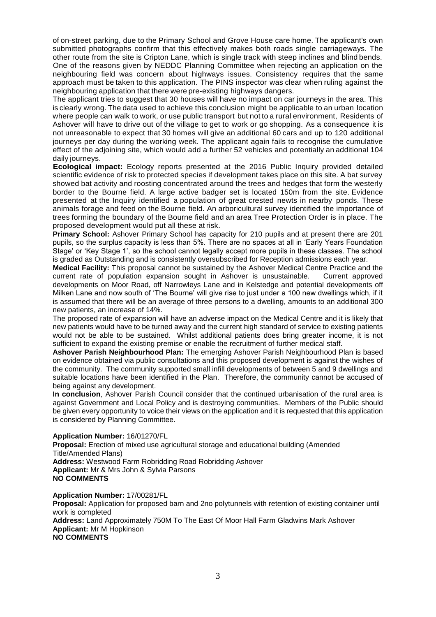of on-street parking, due to the Primary School and Grove House care home. The applicant's own submitted photographs confirm that this effectively makes both roads single carriageways. The other route from the site is Cripton Lane, which is single track with steep inclines and blind bends. One of the reasons given by NEDDC Planning Committee when rejecting an application on the neighbouring field was concern about highways issues. Consistency requires that the same approach must be taken to this application. The PINS inspector was clear when ruling against the neighbouring application that there were pre-existing highways dangers.

The applicant tries to suggest that 30 houses will have no impact on car journeys in the area. This is clearly wrong. The data used to achieve this conclusion might be applicable to an urban location where people can walk to work, or use public transport but not to a rural environment, Residents of Ashover will have to drive out of the village to get to work or go shopping. As a consequence it is not unreasonable to expect that 30 homes will give an additional 60 cars and up to 120 additional journeys per day during the working week. The applicant again fails to recognise the cumulative effect of the adjoining site, which would add a further 52 vehicles and potentially an additional 104 daily journeys.

**Ecological impact:** Ecology reports presented at the 2016 Public Inquiry provided detailed scientific evidence of risk to protected species if development takes place on this site. A bat survey showed bat activity and roosting concentrated around the trees and hedges that form the westerly border to the Bourne field. A large active badger set is located 150m from the site. Evidence presented at the Inquiry identified a population of great crested newts in nearby ponds. These animals forage and feed on the Bourne field. An arboricultural survey identified the importance of trees forming the boundary of the Bourne field and an area Tree Protection Order is in place. The proposed development would put all these at risk.

**Primary School:** Ashover Primary School has capacity for 210 pupils and at present there are 201 pupils, so the surplus capacity is less than 5%. There are no spaces at all in 'Early Years Foundation Stage' or 'Key Stage 1', so the school cannot legally accept more pupils in these classes. The school is graded as Outstanding and is consistently oversubscribed for Reception admissions each year.

**Medical Facility:** This proposal cannot be sustained by the Ashover Medical Centre Practice and the current rate of population expansion sought in Ashover is unsustainable. Current approved developments on Moor Road, off Narrowleys Lane and in Kelstedge and potential developments off Milken Lane and now south of 'The Bourne' will give rise to just under a 100 new dwellings which, if it is assumed that there will be an average of three persons to a dwelling, amounts to an additional 300 new patients, an increase of 14%.

The proposed rate of expansion will have an adverse impact on the Medical Centre and it is likely that new patients would have to be turned away and the current high standard of service to existing patients would not be able to be sustained. Whilst additional patients does bring greater income, it is not sufficient to expand the existing premise or enable the recruitment of further medical staff.

**Ashover Parish Neighbourhood Plan:** The emerging Ashover Parish Neighbourhood Plan is based on evidence obtained via public consultations and this proposed development is against the wishes of the community. The community supported small infill developments of between 5 and 9 dwellings and suitable locations have been identified in the Plan. Therefore, the community cannot be accused of being against any development.

**In conclusion**, Ashover Parish Council consider that the continued urbanisation of the rural area is against Government and Local Policy and is destroying communities. Members of the Public should be given every opportunity to voice their views on the application and it is requested that this application is considered by Planning Committee.

**Application Number:** 16/01270/FL

**Proposal:** Erection of mixed use agricultural storage and educational building (Amended Title/Amended Plans) **Address:** Westwood Farm Robridding Road Robridding Ashover **Applicant:** Mr & Mrs John & Sylvia Parsons **NO COMMENTS**

**Application Number:** 17/00281/FL **Proposal:** Application for proposed barn and 2no polytunnels with retention of existing container until work is completed **Address:** Land Approximately 750M To The East Of Moor Hall Farm Gladwins Mark Ashover **Applicant:** Mr M Hopkinson **NO COMMENTS**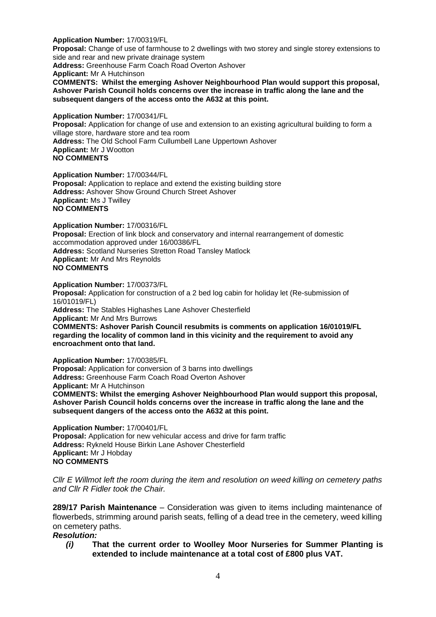#### **Application Number:** 17/00319/FL

**Proposal:** Change of use of farmhouse to 2 dwellings with two storey and single storey extensions to side and rear and new private drainage system

**Address:** Greenhouse Farm Coach Road Overton Ashover **Applicant:** Mr A Hutchinson **COMMENTS: Whilst the emerging Ashover Neighbourhood Plan would support this proposal, Ashover Parish Council holds concerns over the increase in traffic along the lane and the subsequent dangers of the access onto the A632 at this point.** 

#### **Application Number:** 17/00341/FL

**Proposal:** Application for change of use and extension to an existing agricultural building to form a village store, hardware store and tea room **Address:** The Old School Farm Cullumbell Lane Uppertown Ashover **Applicant:** Mr J Wootton **NO COMMENTS**

**Application Number:** 17/00344/FL **Proposal:** Application to replace and extend the existing building store **Address:** Ashover Show Ground Church Street Ashover **Applicant:** Ms J Twilley **NO COMMENTS**

**Application Number:** 17/00316/FL **Proposal:** Erection of link block and conservatory and internal rearrangement of domestic accommodation approved under 16/00386/FL **Address:** Scotland Nurseries Stretton Road Tansley Matlock **Applicant:** Mr And Mrs Reynolds **NO COMMENTS**

**Application Number:** 17/00373/FL **Proposal:** Application for construction of a 2 bed log cabin for holiday let (Re-submission of 16/01019/FL) **Address:** The Stables Highashes Lane Ashover Chesterfield **Applicant:** Mr And Mrs Burrows **COMMENTS: Ashover Parish Council resubmits is comments on application 16/01019/FL regarding the locality of common land in this vicinity and the requirement to avoid any encroachment onto that land.**

**Application Number:** 17/00385/FL **Proposal:** Application for conversion of 3 barns into dwellings **Address:** Greenhouse Farm Coach Road Overton Ashover **Applicant:** Mr A Hutchinson **COMMENTS: Whilst the emerging Ashover Neighbourhood Plan would support this proposal, Ashover Parish Council holds concerns over the increase in traffic along the lane and the** 

**Application Number:** 17/00401/FL **Proposal:** Application for new vehicular access and drive for farm traffic **Address:** Rykneld House Birkin Lane Ashover Chesterfield **Applicant:** Mr J Hobday **NO COMMENTS**

**subsequent dangers of the access onto the A632 at this point.**

*Cllr E Willmot left the room during the item and resolution on weed killing on cemetery paths and Cllr R Fidler took the Chair.*

**289/17 Parish Maintenance** – Consideration was given to items including maintenance of flowerbeds, strimming around parish seats, felling of a dead tree in the cemetery, weed killing on cemetery paths.

*Resolution:* 

*(i)* **That the current order to Woolley Moor Nurseries for Summer Planting is extended to include maintenance at a total cost of £800 plus VAT.**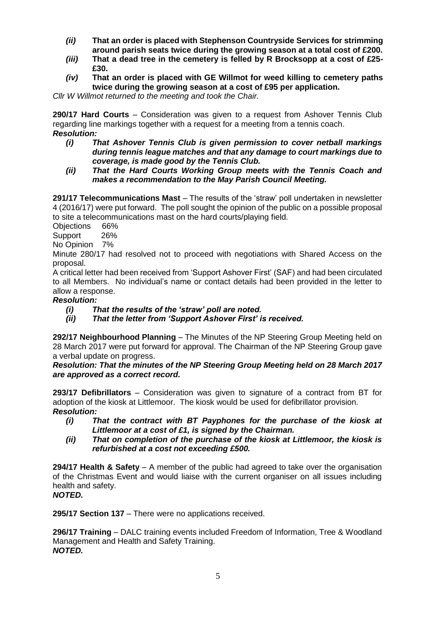- *(ii)* **That an order is placed with Stephenson Countryside Services for strimming around parish seats twice during the growing season at a total cost of £200.**
- *(iii)* **That a dead tree in the cemetery is felled by R Brocksopp at a cost of £25- £30.**
- *(iv)* **That an order is placed with GE Willmot for weed killing to cemetery paths twice during the growing season at a cost of £95 per application.**

*Cllr W Willmot returned to the meeting and took the Chair.*

**290/17 Hard Courts** – Consideration was given to a request from Ashover Tennis Club regarding line markings together with a request for a meeting from a tennis coach. *Resolution:* 

- *(i) That Ashover Tennis Club is given permission to cover netball markings during tennis league matches and that any damage to court markings due to coverage, is made good by the Tennis Club.*
- *(ii) That the Hard Courts Working Group meets with the Tennis Coach and makes a recommendation to the May Parish Council Meeting.*

**291/17 Telecommunications Mast** – The results of the 'straw' poll undertaken in newsletter 4 (2016/17) were put forward. The poll sought the opinion of the public on a possible proposal to site a telecommunications mast on the hard courts/playing field.

Objections 66%

Support 26%

No Opinion 7%

Minute 280/17 had resolved not to proceed with negotiations with Shared Access on the proposal.

A critical letter had been received from 'Support Ashover First' (SAF) and had been circulated to all Members. No individual's name or contact details had been provided in the letter to allow a response.

## *Resolution:*

- *(i) That the results of the 'straw' poll are noted.*
- *(ii) That the letter from 'Support Ashover First' is received.*

**292/17 Neighbourhood Planning** – The Minutes of the NP Steering Group Meeting held on 28 March 2017 were put forward for approval. The Chairman of the NP Steering Group gave a verbal update on progress.

*Resolution: That the minutes of the NP Steering Group Meeting held on 28 March 2017 are approved as a correct record.*

**293/17 Defibrillators** – Consideration was given to signature of a contract from BT for adoption of the kiosk at Littlemoor. The kiosk would be used for defibrillator provision. *Resolution:* 

- *(i) That the contract with BT Payphones for the purchase of the kiosk at Littlemoor at a cost of £1, is signed by the Chairman.*
- *(ii) That on completion of the purchase of the kiosk at Littlemoor, the kiosk is refurbished at a cost not exceeding £500.*

**294/17 Health & Safety** – A member of the public had agreed to take over the organisation of the Christmas Event and would liaise with the current organiser on all issues including health and safety.

# *NOTED.*

**295/17 Section 137** – There were no applications received.

**296/17 Training** – DALC training events included Freedom of Information, Tree & Woodland Management and Health and Safety Training. *NOTED.*